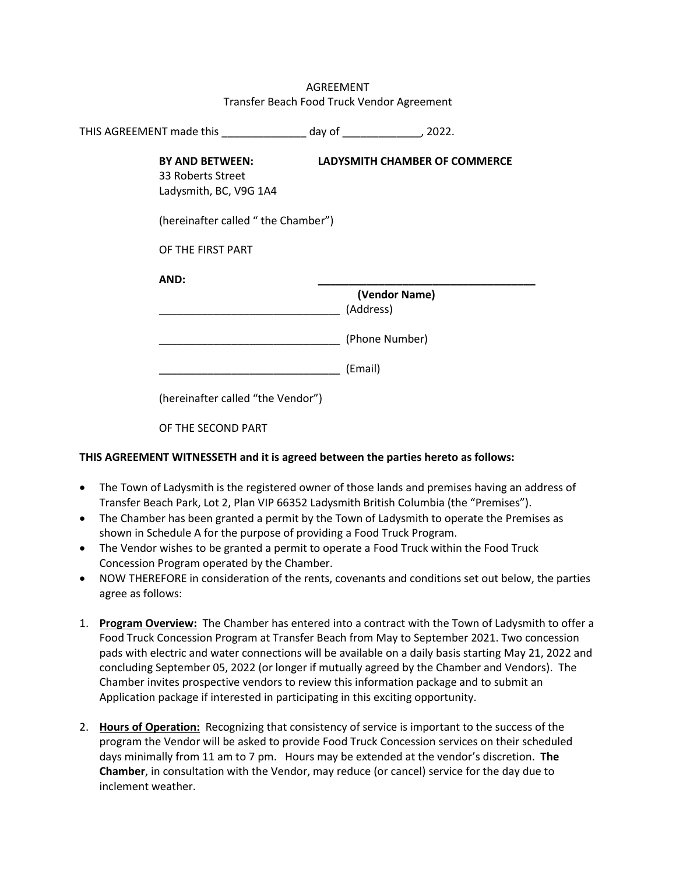|                                                                                                                           |         | Transfer Beach Food Truck Vendor Agreement |
|---------------------------------------------------------------------------------------------------------------------------|---------|--------------------------------------------|
| THIS AGREEMENT made this ________________ day of _________________, 2022.                                                 |         |                                            |
| BY AND BETWEEN:<br>33 Roberts Street<br>Ladysmith, BC, V9G 1A4<br>(hereinafter called "the Chamber")<br>OF THE FIRST PART |         | <b>LADYSMITH CHAMBER OF COMMERCE</b>       |
| AND:                                                                                                                      |         | (Vendor Name)<br>(Address)                 |
| (hereinafter called "the Vendor")                                                                                         | (Email) | (Phone Number)                             |
|                                                                                                                           |         |                                            |

AGREEMENT

OF THE SECOND PART

## **THIS AGREEMENT WITNESSETH and it is agreed between the parties hereto as follows:**

- The Town of Ladysmith is the registered owner of those lands and premises having an address of Transfer Beach Park, Lot 2, Plan VIP 66352 Ladysmith British Columbia (the "Premises").
- The Chamber has been granted a permit by the Town of Ladysmith to operate the Premises as shown in Schedule A for the purpose of providing a Food Truck Program.
- The Vendor wishes to be granted a permit to operate a Food Truck within the Food Truck Concession Program operated by the Chamber.
- NOW THEREFORE in consideration of the rents, covenants and conditions set out below, the parties agree as follows:
- 1. **Program Overview:** The Chamber has entered into a contract with the Town of Ladysmith to offer a Food Truck Concession Program at Transfer Beach from May to September 2021. Two concession pads with electric and water connections will be available on a daily basis starting May 21, 2022 and concluding September 05, 2022 (or longer if mutually agreed by the Chamber and Vendors). The Chamber invites prospective vendors to review this information package and to submit an Application package if interested in participating in this exciting opportunity.
- 2. **Hours of Operation:** Recognizing that consistency of service is important to the success of the program the Vendor will be asked to provide Food Truck Concession services on their scheduled days minimally from 11 am to 7 pm. Hours may be extended at the vendor's discretion. **The Chamber**, in consultation with the Vendor, may reduce (or cancel) service for the day due to inclement weather.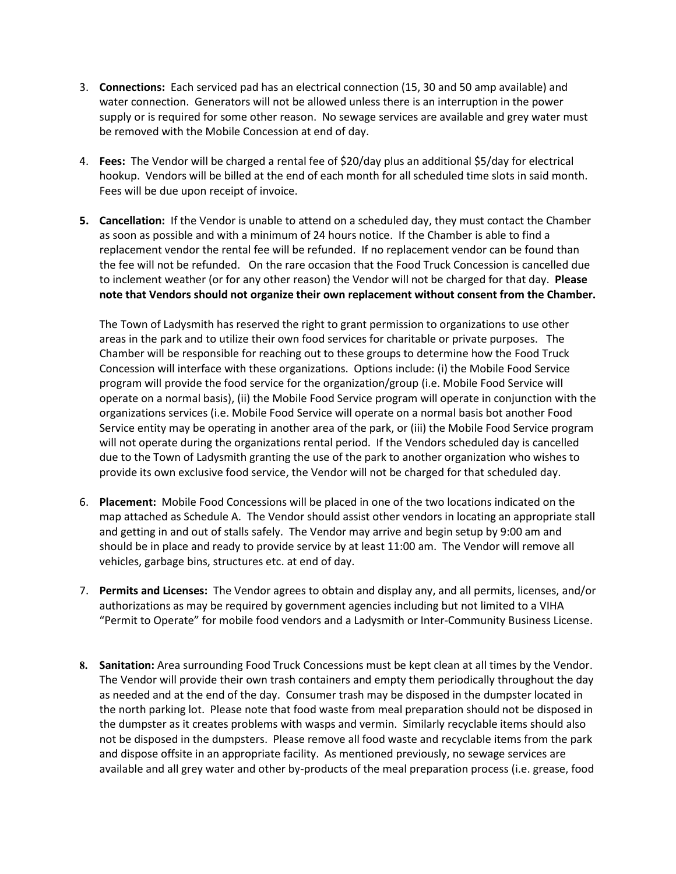- 3. **Connections:** Each serviced pad has an electrical connection (15, 30 and 50 amp available) and water connection. Generators will not be allowed unless there is an interruption in the power supply or is required for some other reason. No sewage services are available and grey water must be removed with the Mobile Concession at end of day.
- 4. **Fees:** The Vendor will be charged a rental fee of \$20/day plus an additional \$5/day for electrical hookup. Vendors will be billed at the end of each month for all scheduled time slots in said month. Fees will be due upon receipt of invoice.
- **5. Cancellation:** If the Vendor is unable to attend on a scheduled day, they must contact the Chamber as soon as possible and with a minimum of 24 hours notice. If the Chamber is able to find a replacement vendor the rental fee will be refunded. If no replacement vendor can be found than the fee will not be refunded. On the rare occasion that the Food Truck Concession is cancelled due to inclement weather (or for any other reason) the Vendor will not be charged for that day. **Please note that Vendors should not organize their own replacement without consent from the Chamber.**

The Town of Ladysmith has reserved the right to grant permission to organizations to use other areas in the park and to utilize their own food services for charitable or private purposes. The Chamber will be responsible for reaching out to these groups to determine how the Food Truck Concession will interface with these organizations. Options include: (i) the Mobile Food Service program will provide the food service for the organization/group (i.e. Mobile Food Service will operate on a normal basis), (ii) the Mobile Food Service program will operate in conjunction with the organizations services (i.e. Mobile Food Service will operate on a normal basis bot another Food Service entity may be operating in another area of the park, or (iii) the Mobile Food Service program will not operate during the organizations rental period. If the Vendors scheduled day is cancelled due to the Town of Ladysmith granting the use of the park to another organization who wishes to provide its own exclusive food service, the Vendor will not be charged for that scheduled day.

- 6. **Placement:** Mobile Food Concessions will be placed in one of the two locations indicated on the map attached as Schedule A. The Vendor should assist other vendors in locating an appropriate stall and getting in and out of stalls safely. The Vendor may arrive and begin setup by 9:00 am and should be in place and ready to provide service by at least 11:00 am. The Vendor will remove all vehicles, garbage bins, structures etc. at end of day.
- 7. **Permits and Licenses:** The Vendor agrees to obtain and display any, and all permits, licenses, and/or authorizations as may be required by government agencies including but not limited to a VIHA "Permit to Operate" for mobile food vendors and a Ladysmith or Inter-Community Business License.
- **8. Sanitation:** Area surrounding Food Truck Concessions must be kept clean at all times by the Vendor. The Vendor will provide their own trash containers and empty them periodically throughout the day as needed and at the end of the day. Consumer trash may be disposed in the dumpster located in the north parking lot. Please note that food waste from meal preparation should not be disposed in the dumpster as it creates problems with wasps and vermin. Similarly recyclable items should also not be disposed in the dumpsters. Please remove all food waste and recyclable items from the park and dispose offsite in an appropriate facility. As mentioned previously, no sewage services are available and all grey water and other by-products of the meal preparation process (i.e. grease, food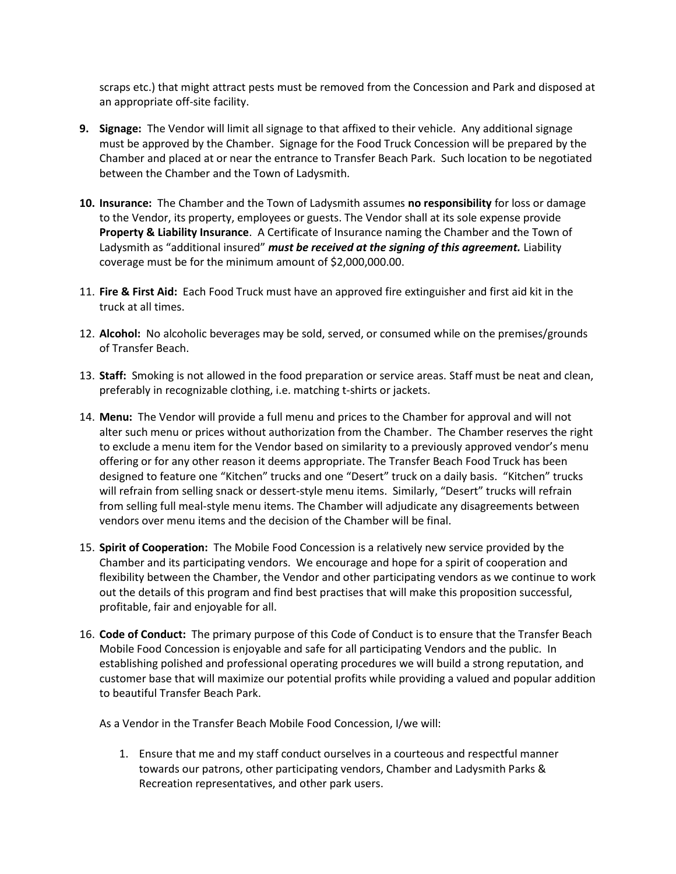scraps etc.) that might attract pests must be removed from the Concession and Park and disposed at an appropriate off-site facility.

- **9. Signage:** The Vendor will limit all signage to that affixed to their vehicle. Any additional signage must be approved by the Chamber. Signage for the Food Truck Concession will be prepared by the Chamber and placed at or near the entrance to Transfer Beach Park. Such location to be negotiated between the Chamber and the Town of Ladysmith.
- **10. Insurance:** The Chamber and the Town of Ladysmith assumes **no responsibility** for loss or damage to the Vendor, its property, employees or guests. The Vendor shall at its sole expense provide **Property & Liability Insurance**. A Certificate of Insurance naming the Chamber and the Town of Ladysmith as "additional insured" *must be received at the signing of this agreement.* Liability coverage must be for the minimum amount of \$2,000,000.00.
- 11. **Fire & First Aid:** Each Food Truck must have an approved fire extinguisher and first aid kit in the truck at all times.
- 12. **Alcohol:** No alcoholic beverages may be sold, served, or consumed while on the premises/grounds of Transfer Beach.
- 13. **Staff:** Smoking is not allowed in the food preparation or service areas. Staff must be neat and clean, preferably in recognizable clothing, i.e. matching t-shirts or jackets.
- 14. **Menu:** The Vendor will provide a full menu and prices to the Chamber for approval and will not alter such menu or prices without authorization from the Chamber. The Chamber reserves the right to exclude a menu item for the Vendor based on similarity to a previously approved vendor's menu offering or for any other reason it deems appropriate. The Transfer Beach Food Truck has been designed to feature one "Kitchen" trucks and one "Desert" truck on a daily basis. "Kitchen" trucks will refrain from selling snack or dessert-style menu items. Similarly, "Desert" trucks will refrain from selling full meal-style menu items. The Chamber will adjudicate any disagreements between vendors over menu items and the decision of the Chamber will be final.
- 15. **Spirit of Cooperation:** The Mobile Food Concession is a relatively new service provided by the Chamber and its participating vendors. We encourage and hope for a spirit of cooperation and flexibility between the Chamber, the Vendor and other participating vendors as we continue to work out the details of this program and find best practises that will make this proposition successful, profitable, fair and enjoyable for all.
- 16. **Code of Conduct:** The primary purpose of this Code of Conduct is to ensure that the Transfer Beach Mobile Food Concession is enjoyable and safe for all participating Vendors and the public. In establishing polished and professional operating procedures we will build a strong reputation, and customer base that will maximize our potential profits while providing a valued and popular addition to beautiful Transfer Beach Park.

As a Vendor in the Transfer Beach Mobile Food Concession, I/we will:

1. Ensure that me and my staff conduct ourselves in a courteous and respectful manner towards our patrons, other participating vendors, Chamber and Ladysmith Parks & Recreation representatives, and other park users.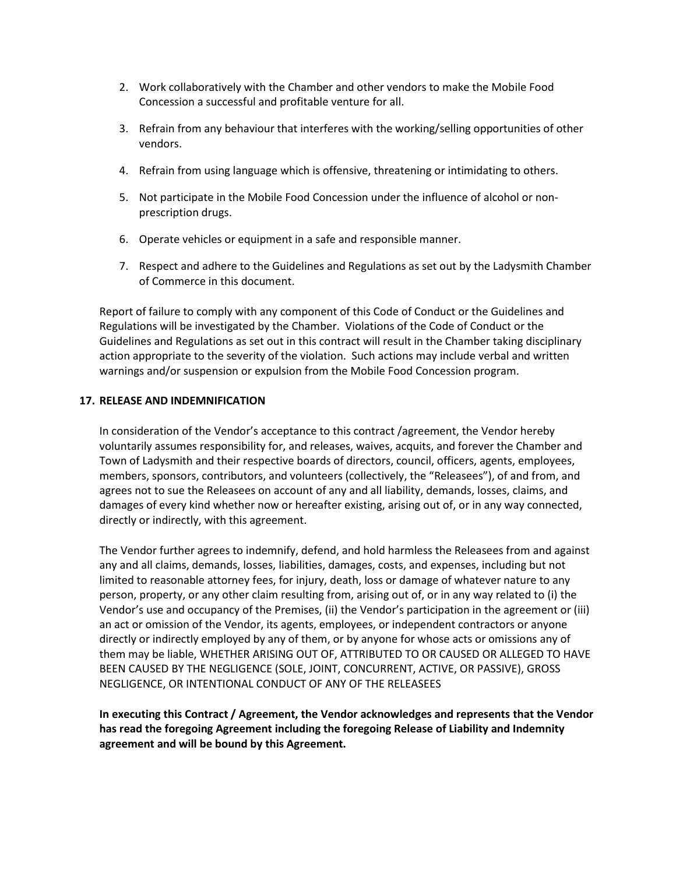- 2. Work collaboratively with the Chamber and other vendors to make the Mobile Food Concession a successful and profitable venture for all.
- 3. Refrain from any behaviour that interferes with the working/selling opportunities of other vendors.
- 4. Refrain from using language which is offensive, threatening or intimidating to others.
- 5. Not participate in the Mobile Food Concession under the influence of alcohol or nonprescription drugs.
- 6. Operate vehicles or equipment in a safe and responsible manner.
- 7. Respect and adhere to the Guidelines and Regulations as set out by the Ladysmith Chamber of Commerce in this document.

Report of failure to comply with any component of this Code of Conduct or the Guidelines and Regulations will be investigated by the Chamber. Violations of the Code of Conduct or the Guidelines and Regulations as set out in this contract will result in the Chamber taking disciplinary action appropriate to the severity of the violation. Such actions may include verbal and written warnings and/or suspension or expulsion from the Mobile Food Concession program.

## **17. RELEASE AND INDEMNIFICATION**

In consideration of the Vendor's acceptance to this contract /agreement, the Vendor hereby voluntarily assumes responsibility for, and releases, waives, acquits, and forever the Chamber and Town of Ladysmith and their respective boards of directors, council, officers, agents, employees, members, sponsors, contributors, and volunteers (collectively, the "Releasees"), of and from, and agrees not to sue the Releasees on account of any and all liability, demands, losses, claims, and damages of every kind whether now or hereafter existing, arising out of, or in any way connected, directly or indirectly, with this agreement.

The Vendor further agrees to indemnify, defend, and hold harmless the Releasees from and against any and all claims, demands, losses, liabilities, damages, costs, and expenses, including but not limited to reasonable attorney fees, for injury, death, loss or damage of whatever nature to any person, property, or any other claim resulting from, arising out of, or in any way related to (i) the Vendor's use and occupancy of the Premises, (ii) the Vendor's participation in the agreement or (iii) an act or omission of the Vendor, its agents, employees, or independent contractors or anyone directly or indirectly employed by any of them, or by anyone for whose acts or omissions any of them may be liable, WHETHER ARISING OUT OF, ATTRIBUTED TO OR CAUSED OR ALLEGED TO HAVE BEEN CAUSED BY THE NEGLIGENCE (SOLE, JOINT, CONCURRENT, ACTIVE, OR PASSIVE), GROSS NEGLIGENCE, OR INTENTIONAL CONDUCT OF ANY OF THE RELEASEES

**In executing this Contract / Agreement, the Vendor acknowledges and represents that the Vendor has read the foregoing Agreement including the foregoing Release of Liability and Indemnity agreement and will be bound by this Agreement.**